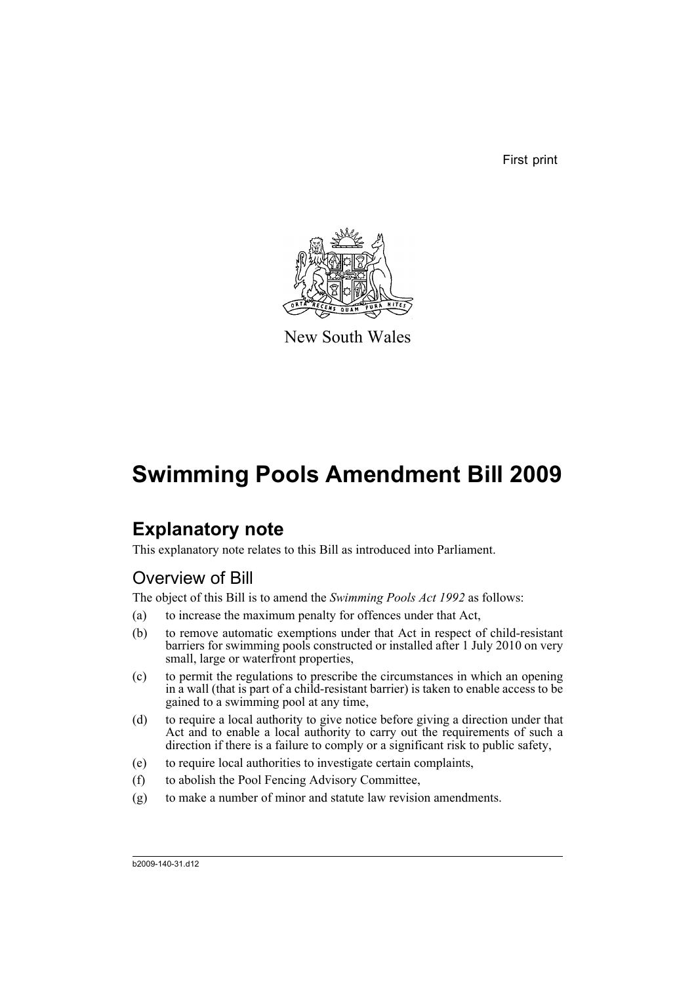First print



New South Wales

# **Swimming Pools Amendment Bill 2009**

## **Explanatory note**

This explanatory note relates to this Bill as introduced into Parliament.

## Overview of Bill

The object of this Bill is to amend the *Swimming Pools Act 1992* as follows:

- (a) to increase the maximum penalty for offences under that Act,
- (b) to remove automatic exemptions under that Act in respect of child-resistant barriers for swimming pools constructed or installed after 1 July 2010 on very small, large or waterfront properties,
- (c) to permit the regulations to prescribe the circumstances in which an opening in a wall (that is part of a child-resistant barrier) is taken to enable access to be gained to a swimming pool at any time,
- (d) to require a local authority to give notice before giving a direction under that Act and to enable a local authority to carry out the requirements of such a direction if there is a failure to comply or a significant risk to public safety,
- (e) to require local authorities to investigate certain complaints,
- (f) to abolish the Pool Fencing Advisory Committee,
- (g) to make a number of minor and statute law revision amendments.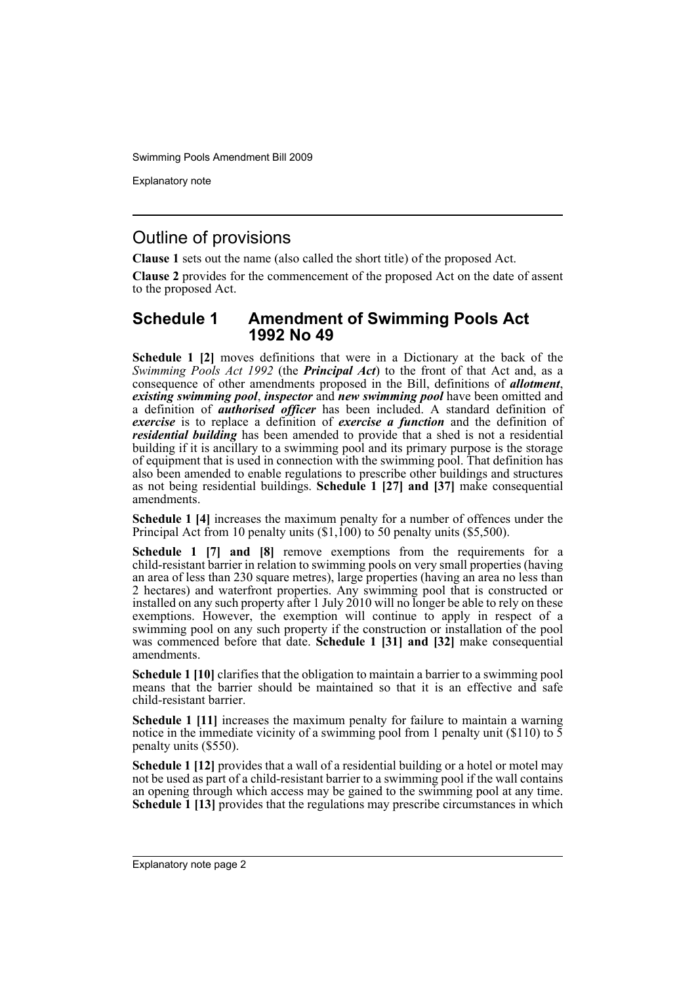Explanatory note

### Outline of provisions

**Clause 1** sets out the name (also called the short title) of the proposed Act.

**Clause 2** provides for the commencement of the proposed Act on the date of assent to the proposed Act.

#### **Schedule 1 Amendment of Swimming Pools Act 1992 No 49**

**Schedule 1 [2]** moves definitions that were in a Dictionary at the back of the *Swimming Pools Act 1992* (the *Principal Act*) to the front of that Act and, as a consequence of other amendments proposed in the Bill, definitions of *allotment*, *existing swimming pool*, *inspector* and *new swimming pool* have been omitted and a definition of *authorised officer* has been included. A standard definition of *exercise* is to replace a definition of *exercise a function* and the definition of *residential building* has been amended to provide that a shed is not a residential building if it is ancillary to a swimming pool and its primary purpose is the storage of equipment that is used in connection with the swimming pool. That definition has also been amended to enable regulations to prescribe other buildings and structures as not being residential buildings. **Schedule 1 [27] and [37]** make consequential amendments.

**Schedule 1 [4]** increases the maximum penalty for a number of offences under the Principal Act from 10 penalty units  $(\$1,100)$  to 50 penalty units  $(\$5,500)$ .

**Schedule 1 [7] and [8]** remove exemptions from the requirements for a child-resistant barrier in relation to swimming pools on very small properties (having an area of less than 230 square metres), large properties (having an area no less than 2 hectares) and waterfront properties. Any swimming pool that is constructed or installed on any such property after 1 July 2010 will no longer be able to rely on these exemptions. However, the exemption will continue to apply in respect of a swimming pool on any such property if the construction or installation of the pool was commenced before that date. **Schedule 1 [31] and [32]** make consequential amendments.

**Schedule 1 [10]** clarifies that the obligation to maintain a barrier to a swimming pool means that the barrier should be maintained so that it is an effective and safe child-resistant barrier.

**Schedule 1 [11]** increases the maximum penalty for failure to maintain a warning notice in the immediate vicinity of a swimming pool from 1 penalty unit (\$110) to  $\overline{5}$ penalty units (\$550).

**Schedule 1 [12]** provides that a wall of a residential building or a hotel or motel may not be used as part of a child-resistant barrier to a swimming pool if the wall contains an opening through which access may be gained to the swimming pool at any time. **Schedule 1 [13]** provides that the regulations may prescribe circumstances in which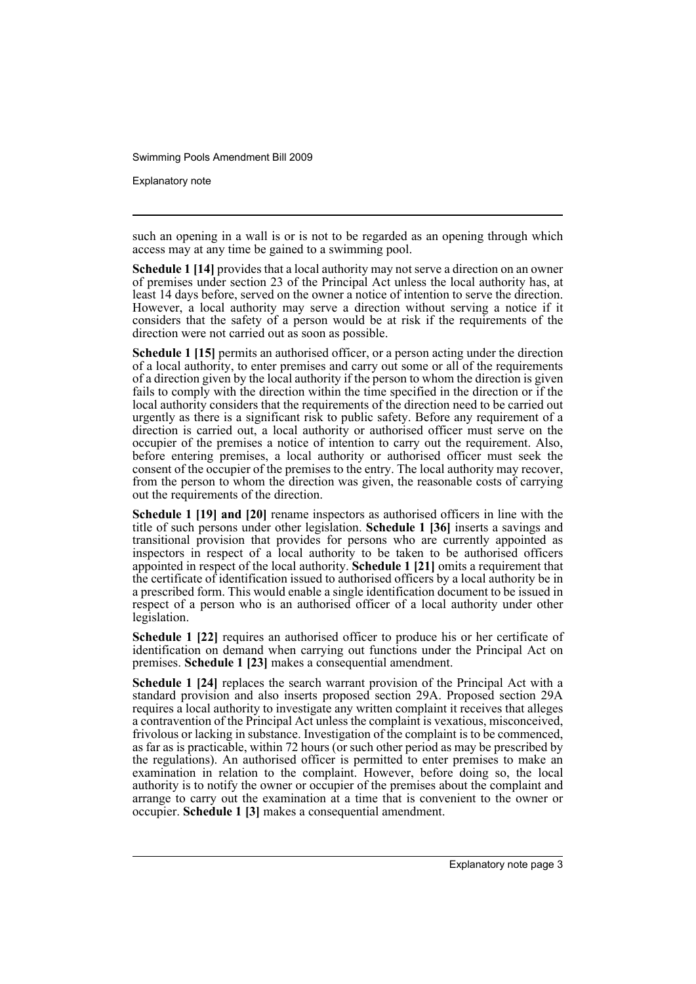Explanatory note

such an opening in a wall is or is not to be regarded as an opening through which access may at any time be gained to a swimming pool.

**Schedule 1 [14]** provides that a local authority may not serve a direction on an owner of premises under section 23 of the Principal Act unless the local authority has, at least 14 days before, served on the owner a notice of intention to serve the direction. However, a local authority may serve a direction without serving a notice if it considers that the safety of a person would be at risk if the requirements of the direction were not carried out as soon as possible.

**Schedule 1 [15]** permits an authorised officer, or a person acting under the direction of a local authority, to enter premises and carry out some or all of the requirements of a direction given by the local authority if the person to whom the direction is given fails to comply with the direction within the time specified in the direction or if the local authority considers that the requirements of the direction need to be carried out urgently as there is a significant risk to public safety. Before any requirement of a direction is carried out, a local authority or authorised officer must serve on the occupier of the premises a notice of intention to carry out the requirement. Also, before entering premises, a local authority or authorised officer must seek the consent of the occupier of the premises to the entry. The local authority may recover, from the person to whom the direction was given, the reasonable costs of carrying out the requirements of the direction.

**Schedule 1 [19] and [20]** rename inspectors as authorised officers in line with the title of such persons under other legislation. **Schedule 1 [36]** inserts a savings and transitional provision that provides for persons who are currently appointed as inspectors in respect of a local authority to be taken to be authorised officers appointed in respect of the local authority. **Schedule 1 [21]** omits a requirement that the certificate of identification issued to authorised officers by a local authority be in a prescribed form. This would enable a single identification document to be issued in respect of a person who is an authorised officer of a local authority under other legislation.

**Schedule 1 [22]** requires an authorised officer to produce his or her certificate of identification on demand when carrying out functions under the Principal Act on premises. **Schedule 1 [23]** makes a consequential amendment.

**Schedule 1 [24]** replaces the search warrant provision of the Principal Act with a standard provision and also inserts proposed section 29A. Proposed section 29A requires a local authority to investigate any written complaint it receives that alleges a contravention of the Principal Act unless the complaint is vexatious, misconceived, frivolous or lacking in substance. Investigation of the complaint is to be commenced, as far as is practicable, within 72 hours (or such other period as may be prescribed by the regulations). An authorised officer is permitted to enter premises to make an examination in relation to the complaint. However, before doing so, the local authority is to notify the owner or occupier of the premises about the complaint and arrange to carry out the examination at a time that is convenient to the owner or occupier. **Schedule 1 [3]** makes a consequential amendment.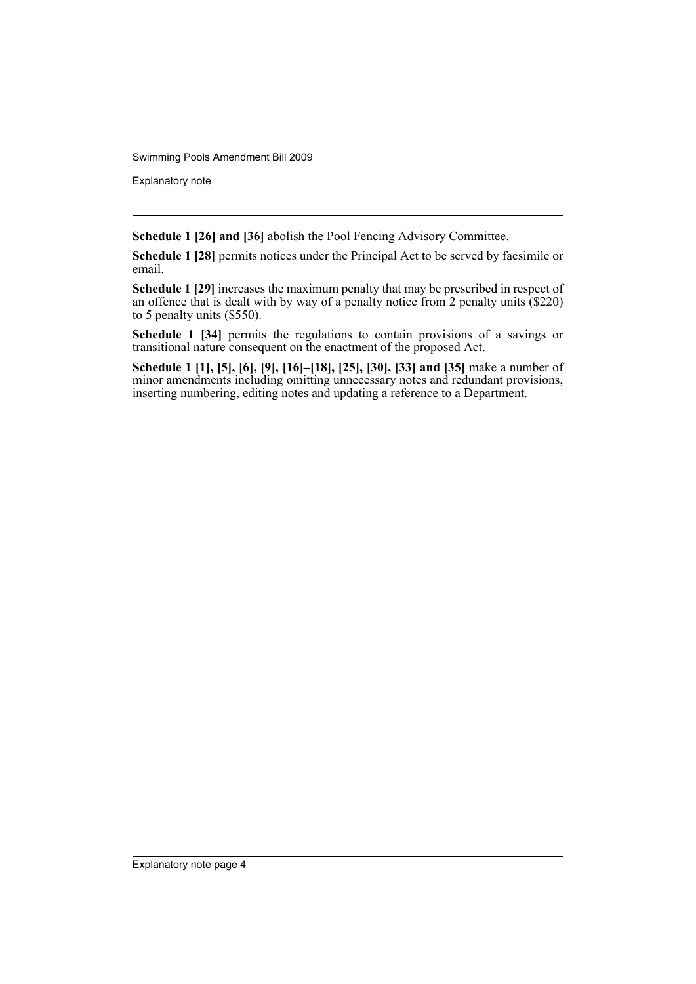Explanatory note

**Schedule 1 [26] and [36]** abolish the Pool Fencing Advisory Committee.

**Schedule 1 [28]** permits notices under the Principal Act to be served by facsimile or email.

**Schedule 1 [29]** increases the maximum penalty that may be prescribed in respect of an offence that is dealt with by way of a penalty notice from 2 penalty units  $(S220)$ to 5 penalty units (\$550).

**Schedule 1 [34]** permits the regulations to contain provisions of a savings or transitional nature consequent on the enactment of the proposed Act.

**Schedule 1 [1], [5], [6], [9], [16]–[18], [25], [30], [33] and [35]** make a number of minor amendments including omitting unnecessary notes and redundant provisions, inserting numbering, editing notes and updating a reference to a Department.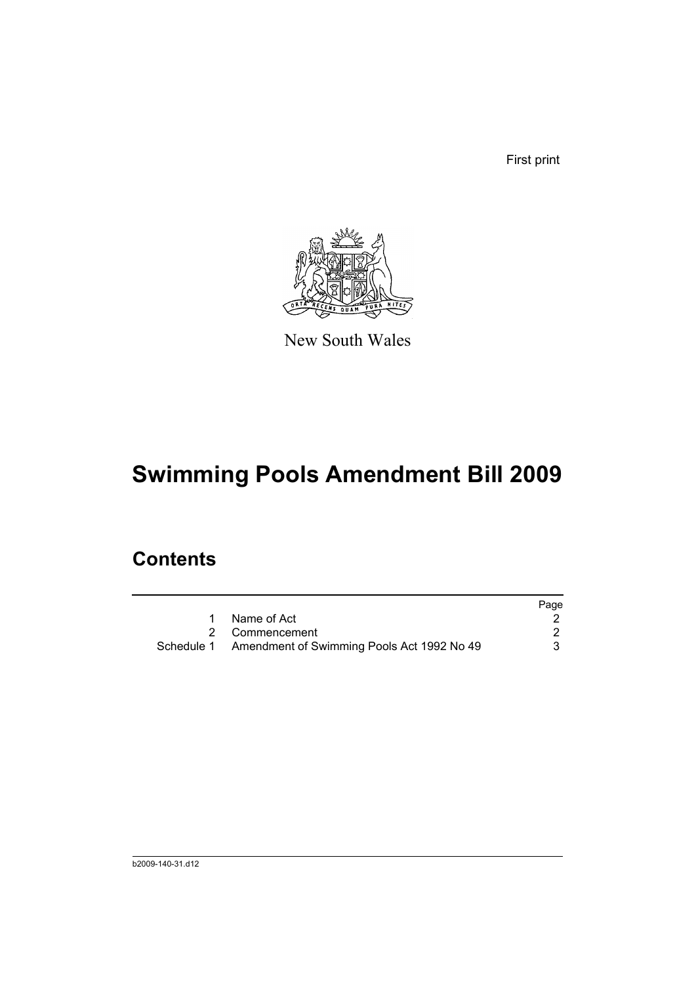First print



New South Wales

# **Swimming Pools Amendment Bill 2009**

## **Contents**

|                                                       | Page |
|-------------------------------------------------------|------|
| Name of Act                                           |      |
| 2 Commencement                                        |      |
| Schedule 1 Amendment of Swimming Pools Act 1992 No 49 |      |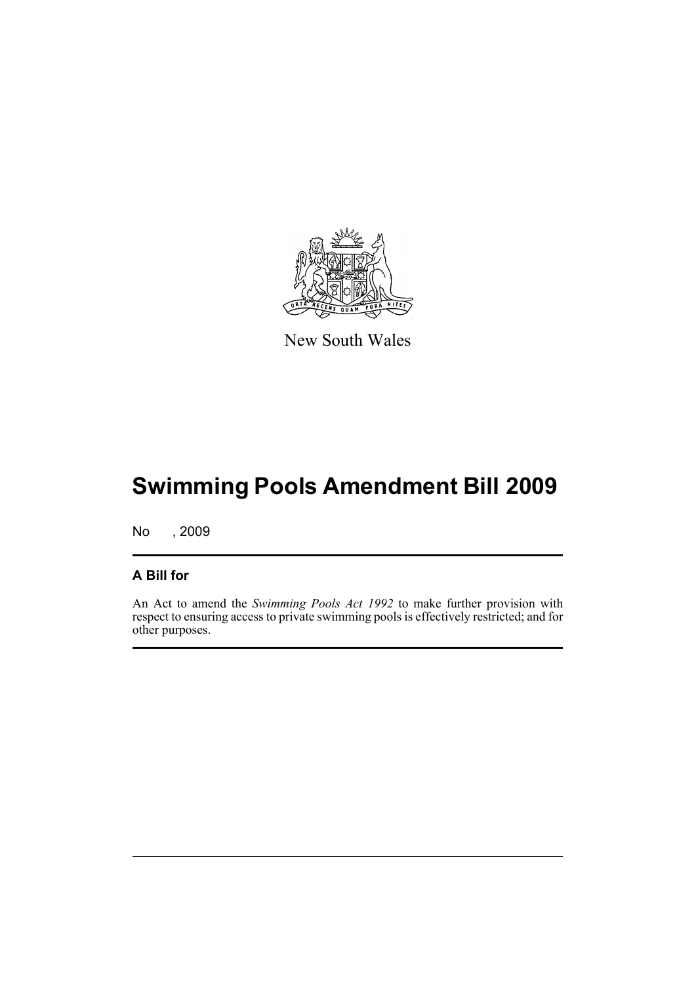

New South Wales

# **Swimming Pools Amendment Bill 2009**

No , 2009

#### **A Bill for**

An Act to amend the *Swimming Pools Act 1992* to make further provision with respect to ensuring access to private swimming pools is effectively restricted; and for other purposes.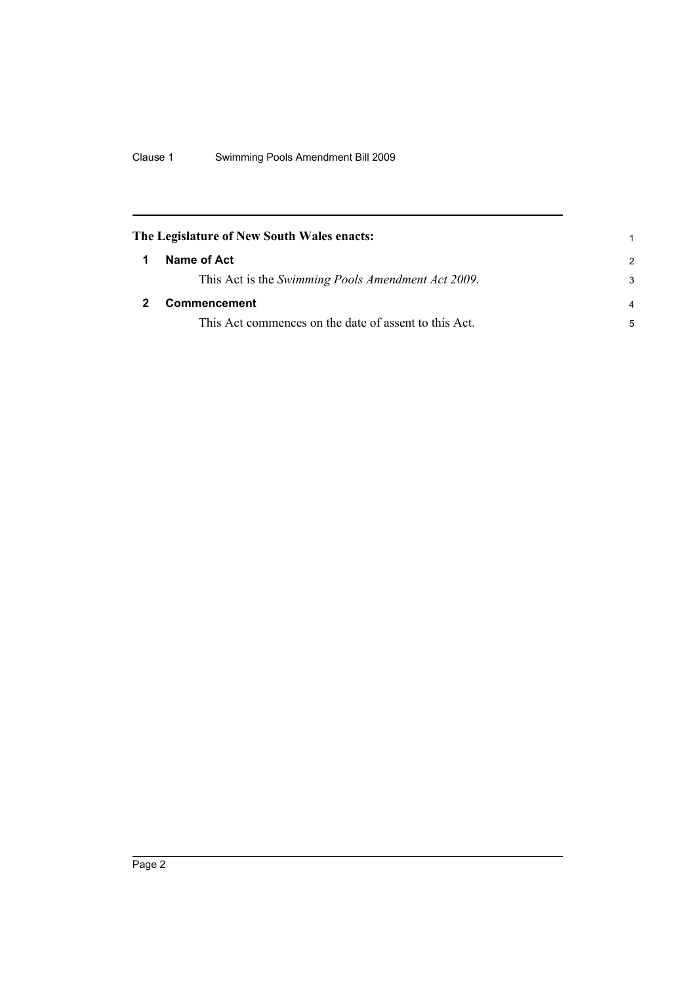<span id="page-7-1"></span><span id="page-7-0"></span>

| The Legislature of New South Wales enacts: |                                                       |                |
|--------------------------------------------|-------------------------------------------------------|----------------|
|                                            | Name of Act                                           | $\mathcal{P}$  |
|                                            | This Act is the Swimming Pools Amendment Act 2009.    | 3              |
|                                            | <b>Commencement</b>                                   | $\overline{a}$ |
|                                            | This Act commences on the date of assent to this Act. | 5              |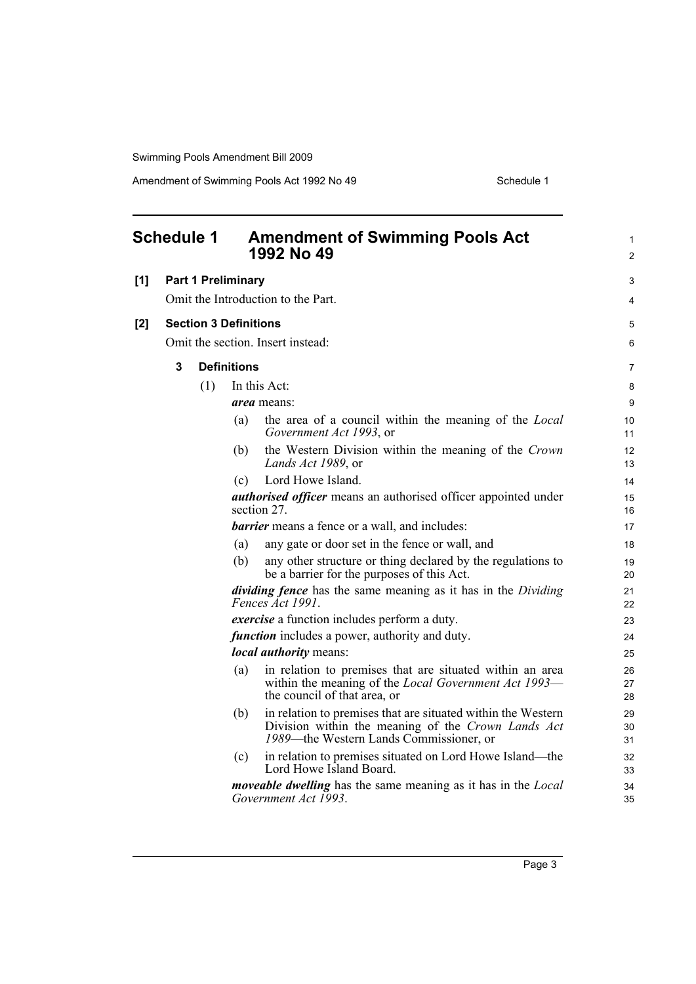<span id="page-8-0"></span>

| <b>Schedule 1</b>                                     |                                                                                                                                 |                                                                                      | <b>Amendment of Swimming Pools Act</b><br>1992 No 49 | 1<br>2                                                                                                                                                        |                |
|-------------------------------------------------------|---------------------------------------------------------------------------------------------------------------------------------|--------------------------------------------------------------------------------------|------------------------------------------------------|---------------------------------------------------------------------------------------------------------------------------------------------------------------|----------------|
| [1]                                                   |                                                                                                                                 | <b>Part 1 Preliminary</b>                                                            |                                                      |                                                                                                                                                               | 3              |
|                                                       |                                                                                                                                 |                                                                                      |                                                      | Omit the Introduction to the Part.                                                                                                                            | 4              |
| [2]                                                   | <b>Section 3 Definitions</b>                                                                                                    |                                                                                      |                                                      | 5                                                                                                                                                             |                |
|                                                       |                                                                                                                                 |                                                                                      |                                                      | Omit the section. Insert instead:                                                                                                                             | 6              |
|                                                       |                                                                                                                                 |                                                                                      |                                                      |                                                                                                                                                               |                |
|                                                       | 3                                                                                                                               |                                                                                      | <b>Definitions</b>                                   |                                                                                                                                                               | $\overline{7}$ |
|                                                       |                                                                                                                                 | (1)                                                                                  |                                                      | In this Act:                                                                                                                                                  | 8              |
|                                                       |                                                                                                                                 |                                                                                      |                                                      | <i>area</i> means:                                                                                                                                            | 9              |
|                                                       |                                                                                                                                 |                                                                                      | (a)                                                  | the area of a council within the meaning of the <i>Local</i><br>Government Act 1993, or                                                                       | 10<br>11       |
|                                                       | the Western Division within the meaning of the Crown<br>(b)<br>Lands Act 1989, or                                               |                                                                                      | 12<br>13                                             |                                                                                                                                                               |                |
| Lord Howe Island.<br>(c)                              |                                                                                                                                 | 14                                                                                   |                                                      |                                                                                                                                                               |                |
|                                                       |                                                                                                                                 | <i>authorised officer</i> means an authorised officer appointed under<br>section 27. |                                                      |                                                                                                                                                               | 15<br>16       |
| <b>barrier</b> means a fence or a wall, and includes: |                                                                                                                                 | 17                                                                                   |                                                      |                                                                                                                                                               |                |
|                                                       | any gate or door set in the fence or wall, and<br>(a)                                                                           |                                                                                      | 18                                                   |                                                                                                                                                               |                |
|                                                       |                                                                                                                                 |                                                                                      | (b)                                                  | any other structure or thing declared by the regulations to<br>be a barrier for the purposes of this Act.                                                     | 19<br>20       |
|                                                       |                                                                                                                                 |                                                                                      |                                                      | <i>dividing fence</i> has the same meaning as it has in the <i>Dividing</i><br>Fences Act 1991.                                                               | 21<br>22       |
|                                                       |                                                                                                                                 |                                                                                      |                                                      | exercise a function includes perform a duty.                                                                                                                  | 23             |
|                                                       |                                                                                                                                 |                                                                                      |                                                      | <i>function</i> includes a power, authority and duty.                                                                                                         | 24             |
|                                                       |                                                                                                                                 |                                                                                      |                                                      | <i>local authority</i> means:                                                                                                                                 | 25             |
|                                                       | in relation to premises that are situated within an area<br>(a)<br>within the meaning of the <i>Local Government Act 1993</i> — |                                                                                      | the council of that area, or                         | 26<br>27<br>28                                                                                                                                                |                |
|                                                       |                                                                                                                                 |                                                                                      | (b)                                                  | in relation to premises that are situated within the Western<br>Division within the meaning of the Crown Lands Act<br>1989—the Western Lands Commissioner, or | 29<br>30<br>31 |
|                                                       |                                                                                                                                 |                                                                                      | (c)                                                  | in relation to premises situated on Lord Howe Island—the<br>Lord Howe Island Board.                                                                           | 32<br>33       |
|                                                       |                                                                                                                                 |                                                                                      |                                                      | <i>moveable dwelling</i> has the same meaning as it has in the <i>Local</i><br>Government Act 1993.                                                           | 34<br>35       |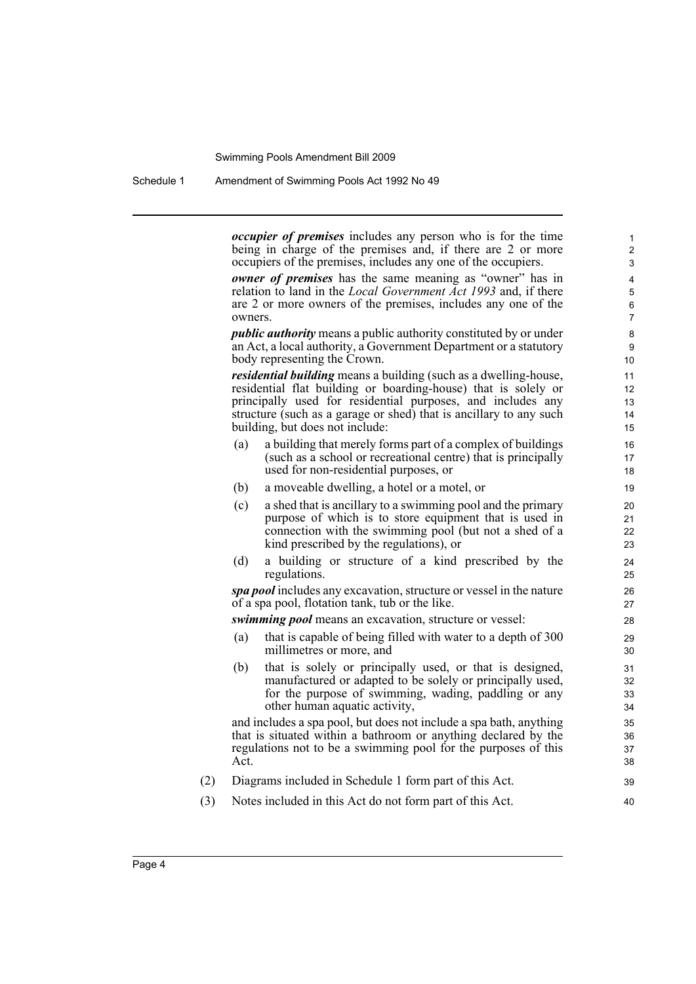Schedule 1 Amendment of Swimming Pools Act 1992 No 49

*occupier of premises* includes any person who is for the time being in charge of the premises and, if there are 2 or more occupiers of the premises, includes any one of the occupiers.

*owner of premises* has the same meaning as "owner" has in relation to land in the *Local Government Act 1993* and, if there are 2 or more owners of the premises, includes any one of the owners.

*public authority* means a public authority constituted by or under an Act, a local authority, a Government Department or a statutory body representing the Crown.

*residential building* means a building (such as a dwelling-house, residential flat building or boarding-house) that is solely or principally used for residential purposes, and includes any structure (such as a garage or shed) that is ancillary to any such building, but does not include:

- (a) a building that merely forms part of a complex of buildings (such as a school or recreational centre) that is principally used for non-residential purposes, or
- (b) a moveable dwelling, a hotel or a motel, or
- (c) a shed that is ancillary to a swimming pool and the primary purpose of which is to store equipment that is used in connection with the swimming pool (but not a shed of a kind prescribed by the regulations), or
- (d) a building or structure of a kind prescribed by the regulations.

*spa pool* includes any excavation, structure or vessel in the nature of a spa pool, flotation tank, tub or the like.

*swimming pool* means an excavation, structure or vessel:

- (a) that is capable of being filled with water to a depth of 300 millimetres or more, and
- (b) that is solely or principally used, or that is designed, manufactured or adapted to be solely or principally used, for the purpose of swimming, wading, paddling or any other human aquatic activity,

and includes a spa pool, but does not include a spa bath, anything that is situated within a bathroom or anything declared by the regulations not to be a swimming pool for the purposes of this Act.

- (2) Diagrams included in Schedule 1 form part of this Act.
- (3) Notes included in this Act do not form part of this Act.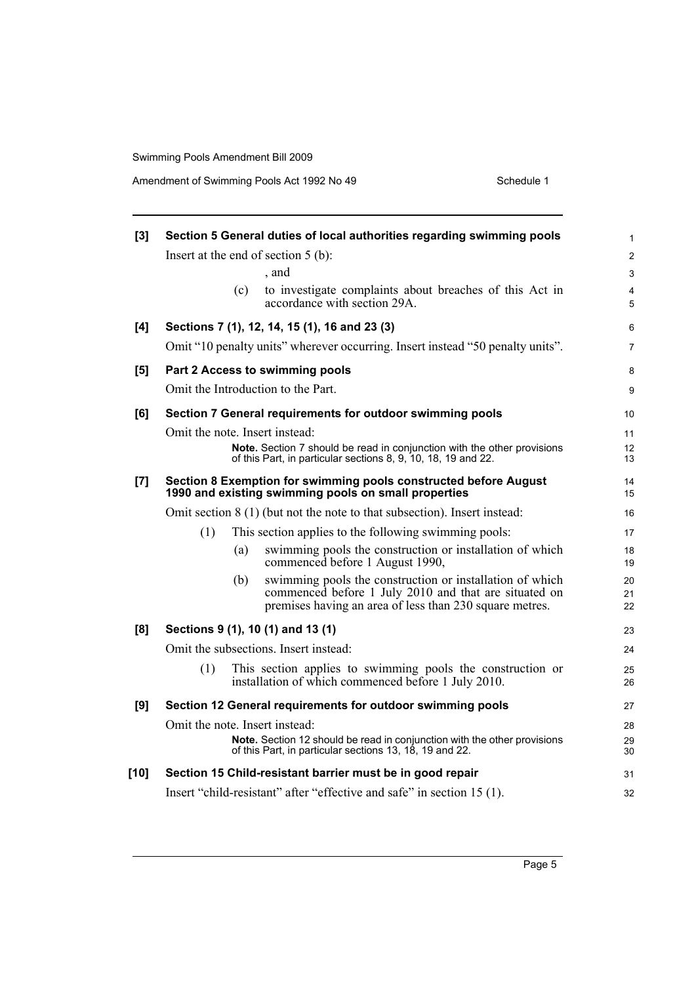| [3]    | Section 5 General duties of local authorities regarding swimming pools                                                                                                              |                |  |  |  |
|--------|-------------------------------------------------------------------------------------------------------------------------------------------------------------------------------------|----------------|--|--|--|
|        | Insert at the end of section $5$ (b):                                                                                                                                               | $\overline{c}$ |  |  |  |
|        | , and                                                                                                                                                                               | 3              |  |  |  |
|        | to investigate complaints about breaches of this Act in<br>(c)<br>accordance with section 29A.                                                                                      | 4<br>5         |  |  |  |
| [4]    | Sections 7 (1), 12, 14, 15 (1), 16 and 23 (3)                                                                                                                                       | 6              |  |  |  |
|        | Omit "10 penalty units" wherever occurring. Insert instead "50 penalty units".                                                                                                      | 7              |  |  |  |
| [5]    | Part 2 Access to swimming pools                                                                                                                                                     | 8              |  |  |  |
|        | Omit the Introduction to the Part.                                                                                                                                                  | 9              |  |  |  |
| [6]    | Section 7 General requirements for outdoor swimming pools                                                                                                                           |                |  |  |  |
|        | Omit the note. Insert instead:                                                                                                                                                      | 11             |  |  |  |
|        | Note. Section 7 should be read in conjunction with the other provisions<br>of this Part, in particular sections 8, 9, 10, 18, 19 and 22.                                            | 12<br>13       |  |  |  |
| [7]    | Section 8 Exemption for swimming pools constructed before August<br>1990 and existing swimming pools on small properties                                                            | 14<br>15       |  |  |  |
|        | Omit section 8 (1) (but not the note to that subsection). Insert instead:                                                                                                           | 16             |  |  |  |
|        | (1)<br>This section applies to the following swimming pools:                                                                                                                        | 17             |  |  |  |
|        | swimming pools the construction or installation of which<br>(a)<br>commenced before 1 August 1990,                                                                                  | 18<br>19       |  |  |  |
|        | swimming pools the construction or installation of which<br>(b)<br>commenced before 1 July 2010 and that are situated on<br>premises having an area of less than 230 square metres. | 20<br>21<br>22 |  |  |  |
| [8]    | Sections 9 (1), 10 (1) and 13 (1)                                                                                                                                                   | 23             |  |  |  |
|        | Omit the subsections. Insert instead:                                                                                                                                               | 24             |  |  |  |
|        | (1)<br>This section applies to swimming pools the construction or<br>installation of which commenced before 1 July 2010.                                                            | 25<br>26       |  |  |  |
| [9]    | Section 12 General requirements for outdoor swimming pools                                                                                                                          | 27             |  |  |  |
|        | Omit the note. Insert instead:                                                                                                                                                      | 28             |  |  |  |
|        | Note. Section 12 should be read in conjunction with the other provisions<br>of this Part, in particular sections 13, 18, 19 and 22.                                                 | 29<br>30       |  |  |  |
| $[10]$ | Section 15 Child-resistant barrier must be in good repair                                                                                                                           | 31             |  |  |  |
|        | Insert "child-resistant" after "effective and safe" in section 15 (1).                                                                                                              |                |  |  |  |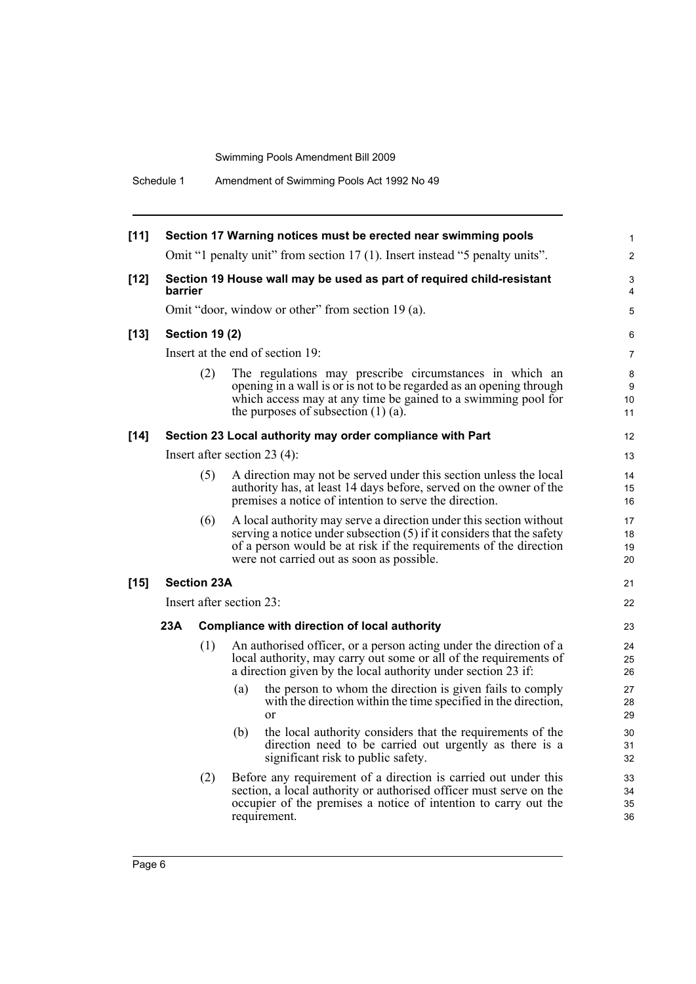| $[11]$ | Section 17 Warning notices must be erected near swimming pools                                                                                                                                                                                     |                                                                                                                                                                                                                                                                      |                                                                                                                                                                                                   |                |  |  |
|--------|----------------------------------------------------------------------------------------------------------------------------------------------------------------------------------------------------------------------------------------------------|----------------------------------------------------------------------------------------------------------------------------------------------------------------------------------------------------------------------------------------------------------------------|---------------------------------------------------------------------------------------------------------------------------------------------------------------------------------------------------|----------------|--|--|
|        |                                                                                                                                                                                                                                                    |                                                                                                                                                                                                                                                                      | Omit "1 penalty unit" from section 17 (1). Insert instead "5 penalty units".                                                                                                                      | $\mathbf{2}$   |  |  |
| $[12]$ | barrier                                                                                                                                                                                                                                            |                                                                                                                                                                                                                                                                      | Section 19 House wall may be used as part of required child-resistant                                                                                                                             | 3<br>4         |  |  |
|        |                                                                                                                                                                                                                                                    |                                                                                                                                                                                                                                                                      | Omit "door, window or other" from section 19 (a).                                                                                                                                                 | 5              |  |  |
| $[13]$ |                                                                                                                                                                                                                                                    | <b>Section 19 (2)</b>                                                                                                                                                                                                                                                |                                                                                                                                                                                                   | 6              |  |  |
|        | Insert at the end of section 19:                                                                                                                                                                                                                   |                                                                                                                                                                                                                                                                      |                                                                                                                                                                                                   |                |  |  |
|        | (2)<br>The regulations may prescribe circumstances in which an<br>opening in a wall is or is not to be regarded as an opening through<br>which access may at any time be gained to a swimming pool for<br>the purposes of subsection $(1)$ $(a)$ . |                                                                                                                                                                                                                                                                      |                                                                                                                                                                                                   |                |  |  |
| $[14]$ |                                                                                                                                                                                                                                                    |                                                                                                                                                                                                                                                                      | Section 23 Local authority may order compliance with Part                                                                                                                                         | 12             |  |  |
|        |                                                                                                                                                                                                                                                    |                                                                                                                                                                                                                                                                      | Insert after section 23 $(4)$ :                                                                                                                                                                   | 13             |  |  |
|        | (5)                                                                                                                                                                                                                                                |                                                                                                                                                                                                                                                                      | A direction may not be served under this section unless the local<br>authority has, at least 14 days before, served on the owner of the<br>premises a notice of intention to serve the direction. | 14<br>15<br>16 |  |  |
|        |                                                                                                                                                                                                                                                    | (6)<br>A local authority may serve a direction under this section without<br>serving a notice under subsection (5) if it considers that the safety<br>of a person would be at risk if the requirements of the direction<br>were not carried out as soon as possible. |                                                                                                                                                                                                   |                |  |  |
| $[15]$ |                                                                                                                                                                                                                                                    | <b>Section 23A</b>                                                                                                                                                                                                                                                   |                                                                                                                                                                                                   | 21             |  |  |
|        | Insert after section 23:                                                                                                                                                                                                                           |                                                                                                                                                                                                                                                                      |                                                                                                                                                                                                   |                |  |  |
|        | 23A                                                                                                                                                                                                                                                |                                                                                                                                                                                                                                                                      | <b>Compliance with direction of local authority</b>                                                                                                                                               | 23             |  |  |
|        | (1)<br>An authorised officer, or a person acting under the direction of a<br>local authority, may carry out some or all of the requirements of<br>a direction given by the local authority under section 23 if:                                    |                                                                                                                                                                                                                                                                      |                                                                                                                                                                                                   | 24<br>25<br>26 |  |  |
|        |                                                                                                                                                                                                                                                    |                                                                                                                                                                                                                                                                      | the person to whom the direction is given fails to comply<br>(a)<br>with the direction within the time specified in the direction,<br><sub>or</sub>                                               | 27<br>28<br>29 |  |  |
|        |                                                                                                                                                                                                                                                    |                                                                                                                                                                                                                                                                      | the local authority considers that the requirements of the<br>(b)<br>direction need to be carried out urgently as there is a<br>significant risk to public safety.                                | 30<br>31<br>32 |  |  |
|        | Before any requirement of a direction is carried out under this<br>(2)<br>section, a local authority or authorised officer must serve on the<br>occupier of the premises a notice of intention to carry out the<br>requirement.                    |                                                                                                                                                                                                                                                                      |                                                                                                                                                                                                   |                |  |  |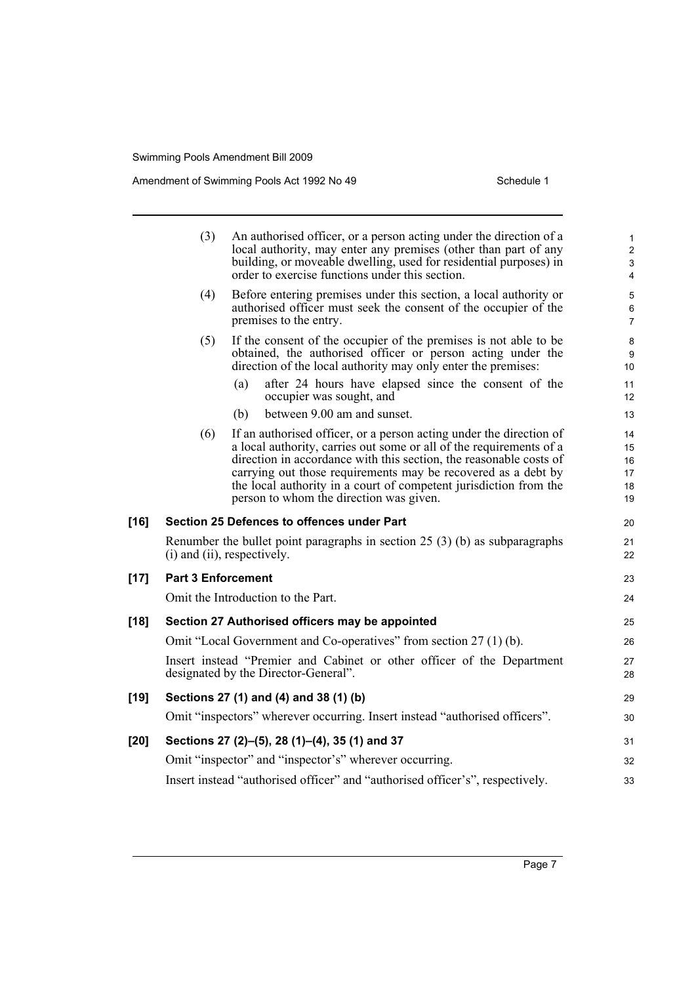|        | (3)<br>An authorised officer, or a person acting under the direction of a<br>local authority, may enter any premises (other than part of any<br>building, or moveable dwelling, used for residential purposes) in<br>order to exercise functions under this section. |                                                                                                                                                                                                                                                                                                                                                                                                   |                                  |
|--------|----------------------------------------------------------------------------------------------------------------------------------------------------------------------------------------------------------------------------------------------------------------------|---------------------------------------------------------------------------------------------------------------------------------------------------------------------------------------------------------------------------------------------------------------------------------------------------------------------------------------------------------------------------------------------------|----------------------------------|
|        | (4)                                                                                                                                                                                                                                                                  | Before entering premises under this section, a local authority or<br>authorised officer must seek the consent of the occupier of the<br>premises to the entry.                                                                                                                                                                                                                                    | 5<br>6<br>$\overline{7}$         |
|        | (5)                                                                                                                                                                                                                                                                  | If the consent of the occupier of the premises is not able to be<br>obtained, the authorised officer or person acting under the<br>direction of the local authority may only enter the premises:                                                                                                                                                                                                  | 8<br>9<br>10                     |
|        |                                                                                                                                                                                                                                                                      | after 24 hours have elapsed since the consent of the<br>(a)<br>occupier was sought, and                                                                                                                                                                                                                                                                                                           | 11<br>12 <sup>2</sup>            |
|        |                                                                                                                                                                                                                                                                      | between 9.00 am and sunset.<br>(b)                                                                                                                                                                                                                                                                                                                                                                | 13                               |
|        | (6)                                                                                                                                                                                                                                                                  | If an authorised officer, or a person acting under the direction of<br>a local authority, carries out some or all of the requirements of a<br>direction in accordance with this section, the reasonable costs of<br>carrying out those requirements may be recovered as a debt by<br>the local authority in a court of competent jurisdiction from the<br>person to whom the direction was given. | 14<br>15<br>16<br>17<br>18<br>19 |
| $[16]$ |                                                                                                                                                                                                                                                                      | Section 25 Defences to offences under Part                                                                                                                                                                                                                                                                                                                                                        | 20                               |
|        |                                                                                                                                                                                                                                                                      | Renumber the bullet point paragraphs in section $25(3)(b)$ as subparagraphs<br>(i) and (ii), respectively.                                                                                                                                                                                                                                                                                        | 21<br>22                         |
| $[17]$ | <b>Part 3 Enforcement</b>                                                                                                                                                                                                                                            |                                                                                                                                                                                                                                                                                                                                                                                                   | 23                               |
|        |                                                                                                                                                                                                                                                                      | Omit the Introduction to the Part.                                                                                                                                                                                                                                                                                                                                                                | 24                               |
| $[18]$ |                                                                                                                                                                                                                                                                      | Section 27 Authorised officers may be appointed                                                                                                                                                                                                                                                                                                                                                   | 25                               |
|        |                                                                                                                                                                                                                                                                      | Omit "Local Government and Co-operatives" from section 27 (1) (b).                                                                                                                                                                                                                                                                                                                                | 26                               |
|        |                                                                                                                                                                                                                                                                      | Insert instead "Premier and Cabinet or other officer of the Department<br>designated by the Director-General".                                                                                                                                                                                                                                                                                    | 27<br>28                         |
| [19]   |                                                                                                                                                                                                                                                                      | Sections 27 (1) and (4) and 38 (1) (b)                                                                                                                                                                                                                                                                                                                                                            | 29                               |
|        |                                                                                                                                                                                                                                                                      | Omit "inspectors" wherever occurring. Insert instead "authorised officers".                                                                                                                                                                                                                                                                                                                       | 30                               |
| [20]   |                                                                                                                                                                                                                                                                      | Sections 27 (2)–(5), 28 (1)–(4), 35 (1) and 37                                                                                                                                                                                                                                                                                                                                                    | 31                               |
|        |                                                                                                                                                                                                                                                                      | Omit "inspector" and "inspector's" wherever occurring.                                                                                                                                                                                                                                                                                                                                            | 32                               |
|        |                                                                                                                                                                                                                                                                      | Insert instead "authorised officer" and "authorised officer's", respectively.                                                                                                                                                                                                                                                                                                                     | 33                               |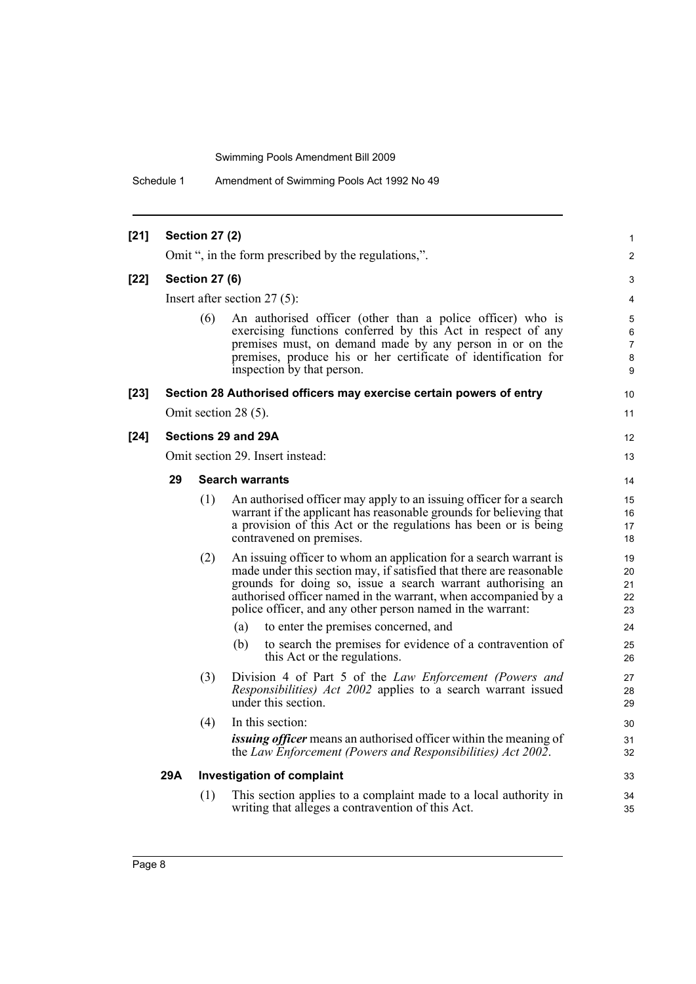Schedule 1 Amendment of Swimming Pools Act 1992 No 49

| $[21]$ | <b>Section 27 (2)</b>                                |                       |                                                                                                                                                                                                                                                                                                                                         |                            |  |
|--------|------------------------------------------------------|-----------------------|-----------------------------------------------------------------------------------------------------------------------------------------------------------------------------------------------------------------------------------------------------------------------------------------------------------------------------------------|----------------------------|--|
|        | Omit ", in the form prescribed by the regulations,". |                       |                                                                                                                                                                                                                                                                                                                                         |                            |  |
| $[22]$ |                                                      | <b>Section 27 (6)</b> |                                                                                                                                                                                                                                                                                                                                         | 3                          |  |
|        |                                                      |                       | Insert after section $27(5)$ :                                                                                                                                                                                                                                                                                                          | 4                          |  |
|        |                                                      | (6)                   | An authorised officer (other than a police officer) who is<br>exercising functions conferred by this Act in respect of any<br>premises must, on demand made by any person in or on the<br>premises, produce his or her certificate of identification for<br>inspection by that person.                                                  | 5<br>6<br>7<br>8<br>9      |  |
| $[23]$ |                                                      |                       | Section 28 Authorised officers may exercise certain powers of entry                                                                                                                                                                                                                                                                     | 10                         |  |
|        |                                                      |                       | Omit section 28 (5).                                                                                                                                                                                                                                                                                                                    | 11                         |  |
| $[24]$ |                                                      |                       | Sections 29 and 29A                                                                                                                                                                                                                                                                                                                     | 12                         |  |
|        | Omit section 29. Insert instead:                     |                       |                                                                                                                                                                                                                                                                                                                                         |                            |  |
|        | 29                                                   |                       | <b>Search warrants</b>                                                                                                                                                                                                                                                                                                                  | 14                         |  |
|        |                                                      | (1)                   | An authorised officer may apply to an issuing officer for a search<br>warrant if the applicant has reasonable grounds for believing that<br>a provision of this Act or the regulations has been or is being<br>contravened on premises.                                                                                                 | 15<br>16<br>17<br>18       |  |
|        |                                                      | (2)                   | An issuing officer to whom an application for a search warrant is<br>made under this section may, if satisfied that there are reasonable<br>grounds for doing so, issue a search warrant authorising an<br>authorised officer named in the warrant, when accompanied by a<br>police officer, and any other person named in the warrant: | 19<br>20<br>21<br>22<br>23 |  |
|        |                                                      |                       | to enter the premises concerned, and<br>(a)                                                                                                                                                                                                                                                                                             | 24                         |  |
|        |                                                      |                       | to search the premises for evidence of a contravention of<br>(b)<br>this Act or the regulations.                                                                                                                                                                                                                                        | 25<br>26                   |  |
|        |                                                      | (3)                   | Division 4 of Part 5 of the Law Enforcement (Powers and<br><i>Responsibilities</i> ) <i>Act 2002</i> applies to a search warrant issued<br>under this section.                                                                                                                                                                          | 27<br>28<br>29             |  |
|        |                                                      | (4)                   | In this section:                                                                                                                                                                                                                                                                                                                        | 30                         |  |
|        |                                                      |                       | <i>issuing officer</i> means an authorised officer within the meaning of<br>the Law Enforcement (Powers and Responsibilities) Act 2002.                                                                                                                                                                                                 | 31<br>32                   |  |
|        | 29A                                                  |                       | <b>Investigation of complaint</b>                                                                                                                                                                                                                                                                                                       | 33                         |  |
|        |                                                      | (1)                   | This section applies to a complaint made to a local authority in<br>writing that alleges a contravention of this Act.                                                                                                                                                                                                                   | 34<br>35                   |  |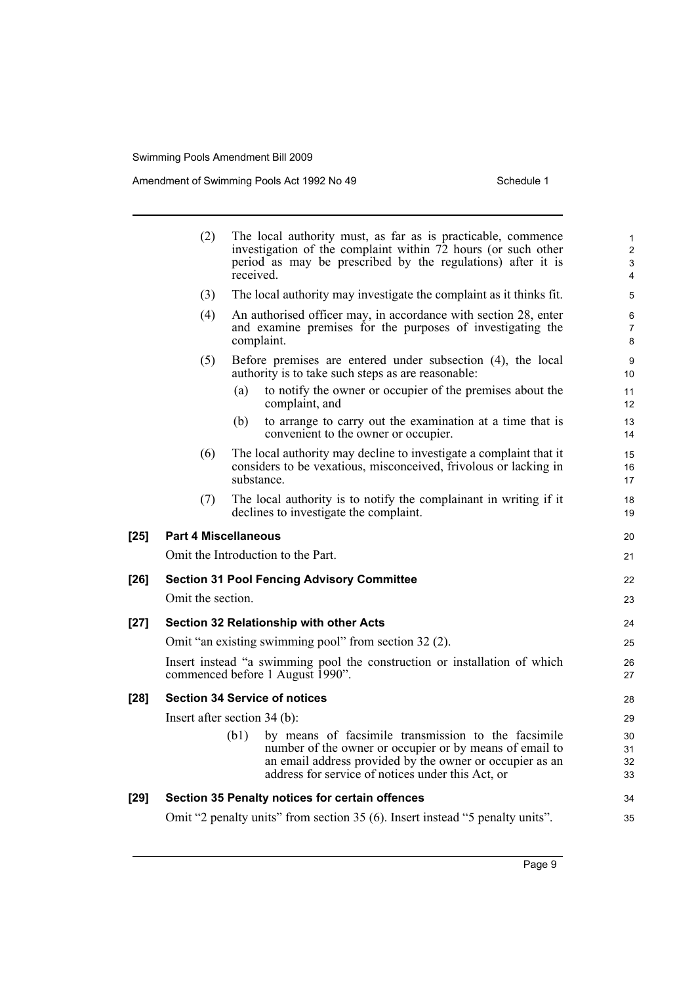|        | (2)<br>The local authority must, as far as is practicable, commence<br>investigation of the complaint within 72 hours (or such other<br>period as may be prescribed by the regulations) after it is<br>received. |                                                                                                                                                                                                                                         |                      |  |  |  |
|--------|------------------------------------------------------------------------------------------------------------------------------------------------------------------------------------------------------------------|-----------------------------------------------------------------------------------------------------------------------------------------------------------------------------------------------------------------------------------------|----------------------|--|--|--|
|        | (3)                                                                                                                                                                                                              | The local authority may investigate the complaint as it thinks fit.                                                                                                                                                                     | 5                    |  |  |  |
|        | (4)<br>An authorised officer may, in accordance with section 28, enter<br>and examine premises for the purposes of investigating the<br>complaint.                                                               |                                                                                                                                                                                                                                         |                      |  |  |  |
|        | (5)                                                                                                                                                                                                              | Before premises are entered under subsection (4), the local<br>authority is to take such steps as are reasonable:                                                                                                                       | 9<br>10 <sup>°</sup> |  |  |  |
|        |                                                                                                                                                                                                                  | (a)<br>to notify the owner or occupier of the premises about the<br>complaint, and                                                                                                                                                      | 11<br>12             |  |  |  |
|        |                                                                                                                                                                                                                  | to arrange to carry out the examination at a time that is<br>(b)<br>convenient to the owner or occupier.                                                                                                                                | 13<br>14             |  |  |  |
|        | (6)<br>The local authority may decline to investigate a complaint that it<br>considers to be vexatious, misconceived, frivolous or lacking in<br>substance.                                                      |                                                                                                                                                                                                                                         |                      |  |  |  |
|        | (7)                                                                                                                                                                                                              | The local authority is to notify the complainant in writing if it<br>declines to investigate the complaint.                                                                                                                             | 18<br>19             |  |  |  |
| $[25]$ | <b>Part 4 Miscellaneous</b>                                                                                                                                                                                      |                                                                                                                                                                                                                                         | 20                   |  |  |  |
|        |                                                                                                                                                                                                                  | Omit the Introduction to the Part.                                                                                                                                                                                                      | 21                   |  |  |  |
| $[26]$ |                                                                                                                                                                                                                  | <b>Section 31 Pool Fencing Advisory Committee</b>                                                                                                                                                                                       | 22                   |  |  |  |
|        | Omit the section.                                                                                                                                                                                                |                                                                                                                                                                                                                                         | 23                   |  |  |  |
| $[27]$ |                                                                                                                                                                                                                  | Section 32 Relationship with other Acts                                                                                                                                                                                                 | 24                   |  |  |  |
|        | Omit "an existing swimming pool" from section 32 (2).                                                                                                                                                            |                                                                                                                                                                                                                                         |                      |  |  |  |
|        |                                                                                                                                                                                                                  | Insert instead "a swimming pool the construction or installation of which<br>commenced before 1 August 1990".                                                                                                                           | 26<br>27             |  |  |  |
| $[28]$ |                                                                                                                                                                                                                  | <b>Section 34 Service of notices</b>                                                                                                                                                                                                    | 28                   |  |  |  |
|        |                                                                                                                                                                                                                  | Insert after section 34 (b):                                                                                                                                                                                                            | 29                   |  |  |  |
|        |                                                                                                                                                                                                                  | by means of facsimile transmission to the facsimile<br>(b1)<br>number of the owner or occupier or by means of email to<br>an email address provided by the owner or occupier as an<br>address for service of notices under this Act, or | 30<br>31<br>32<br>33 |  |  |  |
| $[29]$ |                                                                                                                                                                                                                  | Section 35 Penalty notices for certain offences                                                                                                                                                                                         | 34                   |  |  |  |
|        | Omit "2 penalty units" from section 35 (6). Insert instead "5 penalty units".                                                                                                                                    |                                                                                                                                                                                                                                         |                      |  |  |  |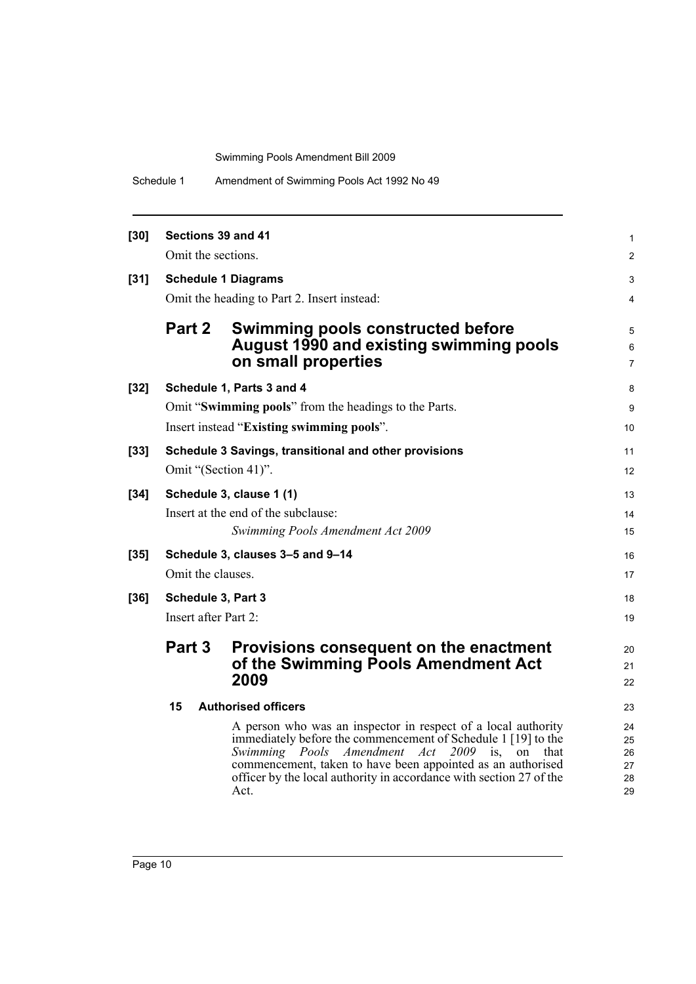| Schedule 1 | Amendment of Swimming Pools Act 1992 No 49 |
|------------|--------------------------------------------|
|------------|--------------------------------------------|

| $[30]$ | Sections 39 and 41                          |                                                                                                                                                                                                                                                                                                                                             | 1                                |  |
|--------|---------------------------------------------|---------------------------------------------------------------------------------------------------------------------------------------------------------------------------------------------------------------------------------------------------------------------------------------------------------------------------------------------|----------------------------------|--|
|        | Omit the sections.                          |                                                                                                                                                                                                                                                                                                                                             |                                  |  |
| $[31]$ | <b>Schedule 1 Diagrams</b>                  |                                                                                                                                                                                                                                                                                                                                             |                                  |  |
|        | Omit the heading to Part 2. Insert instead: |                                                                                                                                                                                                                                                                                                                                             |                                  |  |
|        | Part 2                                      | <b>Swimming pools constructed before</b><br>August 1990 and existing swimming pools<br>on small properties                                                                                                                                                                                                                                  | 5<br>6<br>7                      |  |
| $[32]$ |                                             | Schedule 1, Parts 3 and 4                                                                                                                                                                                                                                                                                                                   | 8                                |  |
|        |                                             | Omit "Swimming pools" from the headings to the Parts.                                                                                                                                                                                                                                                                                       | 9                                |  |
|        |                                             | Insert instead "Existing swimming pools".                                                                                                                                                                                                                                                                                                   | 10                               |  |
| $[33]$ |                                             | Schedule 3 Savings, transitional and other provisions                                                                                                                                                                                                                                                                                       | 11                               |  |
|        | Omit "(Section 41)".                        |                                                                                                                                                                                                                                                                                                                                             | 12                               |  |
| $[34]$ | Schedule 3, clause 1 (1)                    |                                                                                                                                                                                                                                                                                                                                             |                                  |  |
|        |                                             | Insert at the end of the subclause:                                                                                                                                                                                                                                                                                                         | 14                               |  |
|        |                                             | Swimming Pools Amendment Act 2009                                                                                                                                                                                                                                                                                                           | 15                               |  |
| $[35]$ |                                             | Schedule 3, clauses 3-5 and 9-14                                                                                                                                                                                                                                                                                                            | 16                               |  |
|        | Omit the clauses.                           |                                                                                                                                                                                                                                                                                                                                             | 17                               |  |
| $[36]$ | Schedule 3, Part 3                          |                                                                                                                                                                                                                                                                                                                                             | 18                               |  |
|        | Insert after Part 2:                        |                                                                                                                                                                                                                                                                                                                                             | 19                               |  |
|        | Part 3                                      | Provisions consequent on the enactment                                                                                                                                                                                                                                                                                                      | 20                               |  |
|        |                                             | of the Swimming Pools Amendment Act                                                                                                                                                                                                                                                                                                         | 21                               |  |
|        |                                             | 2009                                                                                                                                                                                                                                                                                                                                        | 22                               |  |
|        | 15                                          | <b>Authorised officers</b>                                                                                                                                                                                                                                                                                                                  | 23                               |  |
|        |                                             | A person who was an inspector in respect of a local authority<br>immediately before the commencement of Schedule 1 [19] to the<br>Swimming Pools<br>Amendment Act<br>$2009$ is,<br>on<br>that<br>commencement, taken to have been appointed as an authorised<br>officer by the local authority in accordance with section 27 of the<br>Act. | 24<br>25<br>26<br>27<br>28<br>29 |  |